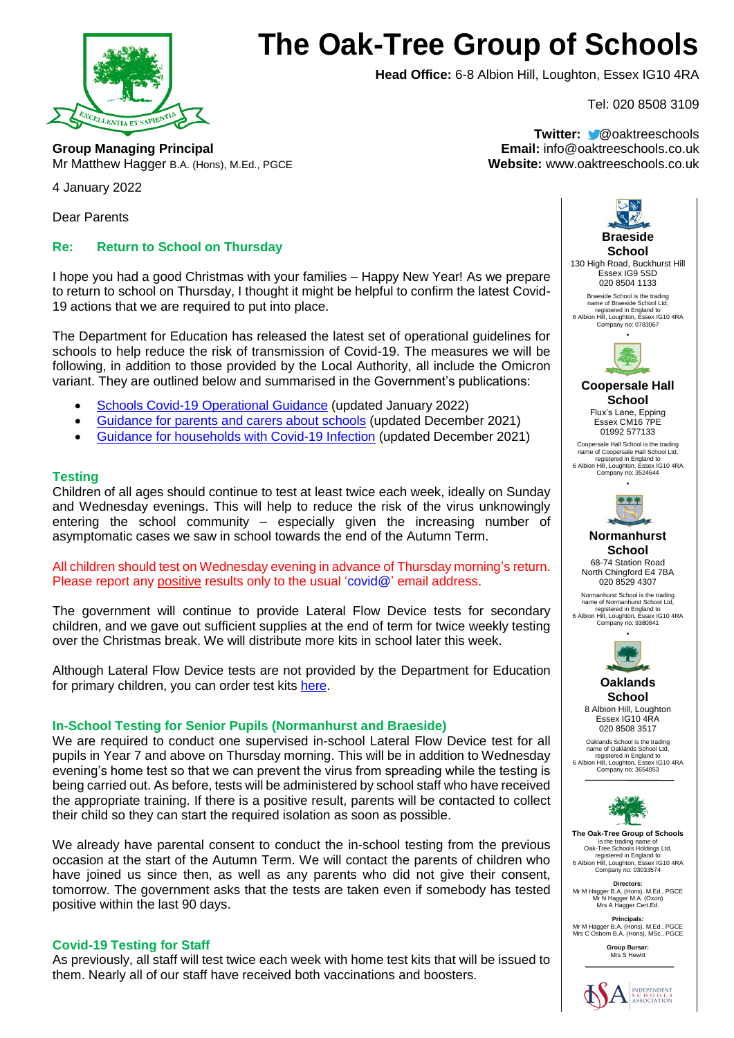

# **The Oak-Tree Group of Schools**

**Head Office:** 6-8 Albion Hill, Loughton, Essex IG10 4RA

Tel: 020 8508 3109

**Group Managing Principal Email:** info@oaktreeschools.co.uk Mr Matthew Hagger B.A. (Hons), M.Ed., PGCE **Website:** www.oaktreeschools.co.uk

**Twitter:** @oaktreeschools

4 January 2022

Dear Parents

# **Re: Return to School on Thursday**

I hope you had a good Christmas with your families – Happy New Year! As we prepare to return to school on Thursday, I thought it might be helpful to confirm the latest Covid-19 actions that we are required to put into place.

The Department for Education has released the latest set of operational guidelines for schools to help reduce the risk of transmission of Covid-19. The measures we will be following, in addition to those provided by the Local Authority, all include the Omicron variant. They are outlined below and summarised in the Government's publications:

- Schools [Covid-19 Operational Guidance](https://assets.publishing.service.gov.uk/government/uploads/system/uploads/attachment_data/file/1044530/Schools_guidance_Jan_22.pdf) (updated January 2022)
- [Guidance for parents and carers about schools](https://www.gov.uk/government/publications/what-parents-and-carers-need-to-know-about-early-years-providers-schools-and-colleges-during-the-coronavirus-covid-19-outbreak/step-4-update-what-parents-and-carers-need-to-know-about-early-years-providers-schools-and-colleges) (updated December 2021)
- [Guidance for households with Covid-19 Infection](https://www.gov.uk/government/publications/covid-19-stay-at-home-guidance/stay-at-home-guidance-for-households-with-possible-coronavirus-covid-19-infection) (updated December 2021)

#### **Testing**

Children of all ages should continue to test at least twice each week, ideally on Sunday and Wednesday evenings. This will help to reduce the risk of the virus unknowingly entering the school community – especially given the increasing number of asymptomatic cases we saw in school towards the end of the Autumn Term.

## All children should test on Wednesday evening in advance of Thursday morning's return. Please report any positive results only to the usual 'covid@' email address.

The government will continue to provide Lateral Flow Device tests for secondary children, and we gave out sufficient supplies at the end of term for twice weekly testing over the Christmas break. We will distribute more kits in school later this week.

Although Lateral Flow Device tests are not provided by the Department for Education for primary children, you can order test kits [here.](https://www.nhs.uk/conditions/coronavirus-covid-19/testing/regular-rapid-coronavirus-tests-if-you-do-not-have-symptoms/)

#### **In-School Testing for Senior Pupils (Normanhurst and Braeside)**

We are required to conduct one supervised in-school Lateral Flow Device test for all pupils in Year 7 and above on Thursday morning. This will be in addition to Wednesday evening's home test so that we can prevent the virus from spreading while the testing is being carried out. As before, tests will be administered by school staff who have received the appropriate training. If there is a positive result, parents will be contacted to collect their child so they can start the required isolation as soon as possible.

We already have parental consent to conduct the in-school testing from the previous occasion at the start of the Autumn Term. We will contact the parents of children who have joined us since then, as well as any parents who did not give their consent. tomorrow. The government asks that the tests are taken even if somebody has tested positive within the last 90 days.

#### **Covid-19 Testing for Staff**

As previously, all staff will test twice each week with home test kits that will be issued to them. Nearly all of our staff have received both vaccinations and boosters.



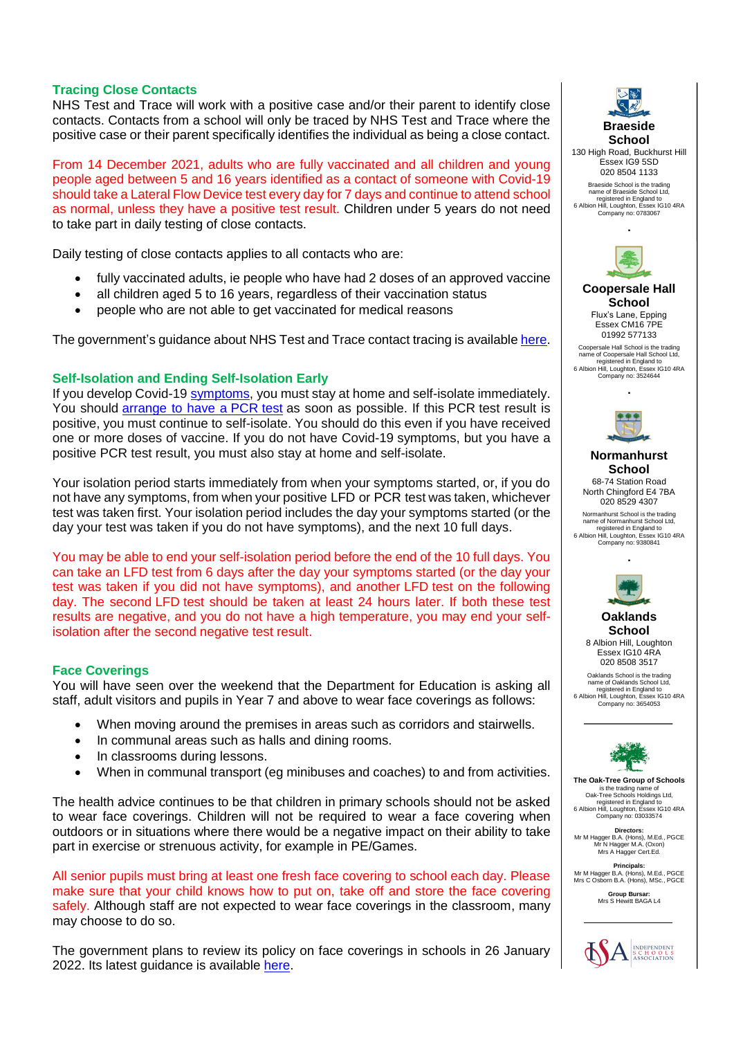## **Tracing Close Contacts**

NHS Test and Trace will work with a positive case and/or their parent to identify close contacts. Contacts from a school will only be traced by NHS Test and Trace where the positive case or their parent specifically identifies the individual as being a close contact.

From 14 December 2021, adults who are fully vaccinated and all children and young people aged between 5 and 16 years identified as a contact of someone with Covid-19 should take a Lateral Flow Device test every day for 7 days and continue to attend school as normal, unless they have a positive test result. Children under 5 years do not need to take part in daily testing of close contacts.

Daily testing of close contacts applies to all contacts who are:

- fully vaccinated adults, ie people who have had 2 doses of an approved vaccine
- all children aged 5 to 16 years, regardless of their vaccination status
- people who are not able to get vaccinated for medical reasons

The government's guidance about NHS Test and Trace contact tracing is availabl[e here.](https://www.gov.uk/guidance/nhs-test-and-trace-how-it-works)

## **Self-Isolation and Ending Self-Isolation Early**

If you develop Covid-19 [symptoms,](https://www.gov.uk/government/publications/covid-19-stay-at-home-guidance/stay-at-home-guidance-for-households-with-possible-coronavirus-covid-19-infection#symptoms) you must stay at home and self-isolate immediately. You should [arrange to have a](https://www.gov.uk/get-coronavirus-test) PCR test as soon as possible. If this PCR test result is positive, you must continue to self-isolate. You should do this even if you have received one or more doses of vaccine. If you do not have Covid-19 symptoms, but you have a positive PCR test result, you must also stay at home and self-isolate.

Your isolation period starts immediately from when your symptoms started, or, if you do not have any symptoms, from when your positive LFD or PCR test was taken, whichever test was taken first. Your isolation period includes the day your symptoms started (or the day your test was taken if you do not have symptoms), and the next 10 full days.

You may be able to end your self-isolation period before the end of the 10 full days. You can take an LFD test from 6 days after the day your symptoms started (or the day your test was taken if you did not have symptoms), and another LFD test on the following day. The second LFD test should be taken at least 24 hours later. If both these test results are negative, and you do not have a high temperature, you may end your selfisolation after the second negative test result.

#### **Face Coverings**

You will have seen over the weekend that the Department for Education is asking all staff, adult visitors and pupils in Year 7 and above to wear face coverings as follows:

- When moving around the premises in areas such as corridors and stairwells.
- In communal areas such as halls and dining rooms.
- In classrooms during lessons.
- When in communal transport (eg minibuses and coaches) to and from activities.

The health advice continues to be that children in primary schools should not be asked to wear face coverings. Children will not be required to wear a face covering when outdoors or in situations where there would be a negative impact on their ability to take part in exercise or strenuous activity, for example in PE/Games.

All senior pupils must bring at least one fresh face covering to school each day. Please make sure that your child knows how to put on, take off and store the face covering safely. Although staff are not expected to wear face coverings in the classroom, many may choose to do so.

The government plans to review its policy on face coverings in schools in 26 January 2022. Its latest quidance is available [here.](https://www.gov.uk/government/publications/face-coverings-when-to-wear-one-and-how-to-make-your-own/face-coverings-when-to-wear-one-and-how-to-make-your-own)



**School** 130 High Road, Buckhurst Hill Essex IG9 5SD 020 8504 1133 Braeside School is the trading name of Braeside School Ltd, registered in England to 6 Albion Hill, Loughton, Essex IG10 4RA Company no: 0783067



**∙**

**Coopersale Hall School** Flux's Lane, Epping Essex CM16 7PE 01992 577133

Coopersale Hall School is the trading name of Coopersale Hall School Ltd, registered in England to 6 Albion Hill, Loughton, Essex IG10 4RA Company no: 3524644



**∙**

**Normanhurst School** 68-74 Station Road North Chingford E4 7BA 020 8529 4307

Normanhurst School is the trading name of Normanhurst School Ltd, registered in England to 6 Albion Hill, Loughton, Essex IG10 4RA Company no: 9380841

**∙**



**Oaklands School** 8 Albion Hill, Loughton Essex IG10 4RA

Oaklands School is the trading name of Oaklands School Ltd, registered in England to 6 Albion Hill, Loughton, Essex IG10 4RA Company no: 3654053

020 8508 3517



**The Oak-Tree Group of Schools** is the trading name of Oak-Tree Schools Holdings Ltd, registered in England to 6 Albion Hill, Loughton, Essex IG10 4RA Company no: 03033574

**Directors:** Mr M Hagger B.A. (Hons), M.Ed., PGCE Mr N Hagger M.A. (Oxon) Mrs A Hagger Cert.Ed.

**Principals:** Mr M Hagger B.A. (Hons), M.Ed., PGCE Mrs C Osborn B.A. (Hons), MSc., PGCE

**Group Bursar:** Mrs S Hewitt BAGA L4